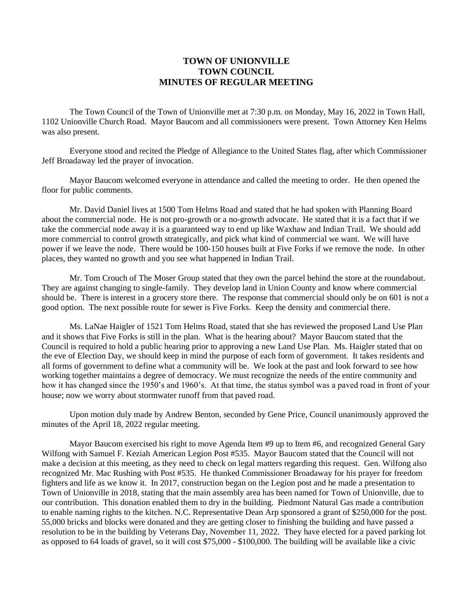## **TOWN OF UNIONVILLE TOWN COUNCIL MINUTES OF REGULAR MEETING**

The Town Council of the Town of Unionville met at 7:30 p.m. on Monday, May 16, 2022 in Town Hall, 1102 Unionville Church Road. Mayor Baucom and all commissioners were present. Town Attorney Ken Helms was also present.

Everyone stood and recited the Pledge of Allegiance to the United States flag, after which Commissioner Jeff Broadaway led the prayer of invocation.

Mayor Baucom welcomed everyone in attendance and called the meeting to order. He then opened the floor for public comments.

Mr. David Daniel lives at 1500 Tom Helms Road and stated that he had spoken with Planning Board about the commercial node. He is not pro-growth or a no-growth advocate. He stated that it is a fact that if we take the commercial node away it is a guaranteed way to end up like Waxhaw and Indian Trail. We should add more commercial to control growth strategically, and pick what kind of commercial we want. We will have power if we leave the node. There would be 100-150 houses built at Five Forks if we remove the node. In other places, they wanted no growth and you see what happened in Indian Trail.

Mr. Tom Crouch of The Moser Group stated that they own the parcel behind the store at the roundabout. They are against changing to single-family. They develop land in Union County and know where commercial should be. There is interest in a grocery store there. The response that commercial should only be on 601 is not a good option. The next possible route for sewer is Five Forks. Keep the density and commercial there.

Ms. LaNae Haigler of 1521 Tom Helms Road, stated that she has reviewed the proposed Land Use Plan and it shows that Five Forks is still in the plan. What is the hearing about? Mayor Baucom stated that the Council is required to hold a public hearing prior to approving a new Land Use Plan. Ms. Haigler stated that on the eve of Election Day, we should keep in mind the purpose of each form of government. It takes residents and all forms of government to define what a community will be. We look at the past and look forward to see how working together maintains a degree of democracy. We must recognize the needs of the entire community and how it has changed since the 1950's and 1960's. At that time, the status symbol was a paved road in front of your house; now we worry about stormwater runoff from that paved road.

Upon motion duly made by Andrew Benton, seconded by Gene Price, Council unanimously approved the minutes of the April 18, 2022 regular meeting.

Mayor Baucom exercised his right to move Agenda Item #9 up to Item #6, and recognized General Gary Wilfong with Samuel F. Keziah American Legion Post #535. Mayor Baucom stated that the Council will not make a decision at this meeting, as they need to check on legal matters regarding this request. Gen. Wilfong also recognized Mr. Mac Rushing with Post #535. He thanked Commissioner Broadaway for his prayer for freedom fighters and life as we know it. In 2017, construction began on the Legion post and he made a presentation to Town of Unionville in 2018, stating that the main assembly area has been named for Town of Unionville, due to our contribution. This donation enabled them to dry in the building. Piedmont Natural Gas made a contribution to enable naming rights to the kitchen. N.C. Representative Dean Arp sponsored a grant of \$250,000 for the post. 55,000 bricks and blocks were donated and they are getting closer to finishing the building and have passed a resolution to be in the building by Veterans Day, November 11, 2022. They have elected for a paved parking lot as opposed to 64 loads of gravel, so it will cost \$75,000 - \$100,000. The building will be available like a civic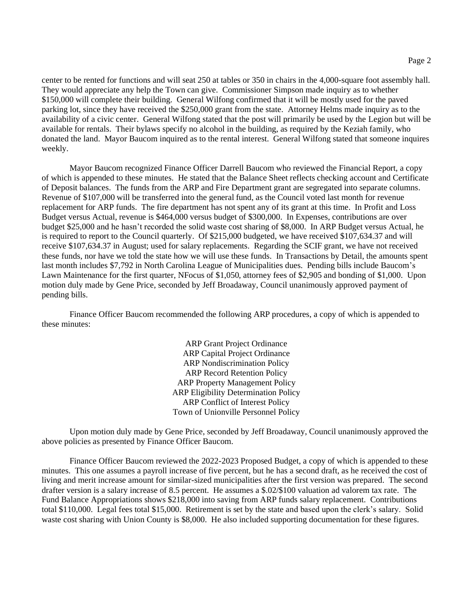center to be rented for functions and will seat 250 at tables or 350 in chairs in the 4,000-square foot assembly hall. They would appreciate any help the Town can give. Commissioner Simpson made inquiry as to whether \$150,000 will complete their building. General Wilfong confirmed that it will be mostly used for the paved parking lot, since they have received the \$250,000 grant from the state. Attorney Helms made inquiry as to the availability of a civic center. General Wilfong stated that the post will primarily be used by the Legion but will be available for rentals. Their bylaws specify no alcohol in the building, as required by the Keziah family, who donated the land. Mayor Baucom inquired as to the rental interest. General Wilfong stated that someone inquires weekly.

Mayor Baucom recognized Finance Officer Darrell Baucom who reviewed the Financial Report, a copy of which is appended to these minutes. He stated that the Balance Sheet reflects checking account and Certificate of Deposit balances. The funds from the ARP and Fire Department grant are segregated into separate columns. Revenue of \$107,000 will be transferred into the general fund, as the Council voted last month for revenue replacement for ARP funds. The fire department has not spent any of its grant at this time. In Profit and Loss Budget versus Actual, revenue is \$464,000 versus budget of \$300,000. In Expenses, contributions are over budget \$25,000 and he hasn't recorded the solid waste cost sharing of \$8,000. In ARP Budget versus Actual, he is required to report to the Council quarterly. Of \$215,000 budgeted, we have received \$107,634.37 and will receive \$107,634.37 in August; used for salary replacements. Regarding the SCIF grant, we have not received these funds, nor have we told the state how we will use these funds. In Transactions by Detail, the amounts spent last month includes \$7,792 in North Carolina League of Municipalities dues. Pending bills include Baucom's Lawn Maintenance for the first quarter, NFocus of \$1,050, attorney fees of \$2,905 and bonding of \$1,000. Upon motion duly made by Gene Price, seconded by Jeff Broadaway, Council unanimously approved payment of pending bills.

Finance Officer Baucom recommended the following ARP procedures, a copy of which is appended to these minutes:

> ARP Grant Project Ordinance ARP Capital Project Ordinance ARP Nondiscrimination Policy ARP Record Retention Policy ARP Property Management Policy ARP Eligibility Determination Policy ARP Conflict of Interest Policy Town of Unionville Personnel Policy

Upon motion duly made by Gene Price, seconded by Jeff Broadaway, Council unanimously approved the above policies as presented by Finance Officer Baucom.

Finance Officer Baucom reviewed the 2022-2023 Proposed Budget, a copy of which is appended to these minutes. This one assumes a payroll increase of five percent, but he has a second draft, as he received the cost of living and merit increase amount for similar-sized municipalities after the first version was prepared. The second drafter version is a salary increase of 8.5 percent. He assumes a \$.02/\$100 valuation ad valorem tax rate. The Fund Balance Appropriations shows \$218,000 into saving from ARP funds salary replacement. Contributions total \$110,000. Legal fees total \$15,000. Retirement is set by the state and based upon the clerk's salary. Solid waste cost sharing with Union County is \$8,000. He also included supporting documentation for these figures.